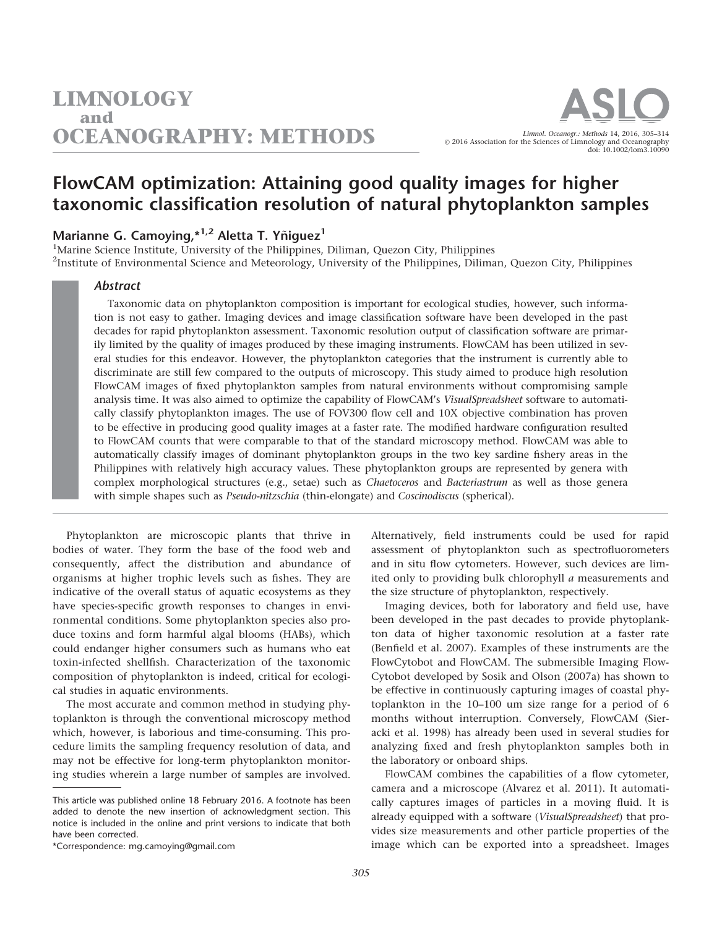# FlowCAM optimization: Attaining good quality images for higher taxonomic classification resolution of natural phytoplankton samples

## Marianne G. Camoying, <sup>\*1,2</sup> Aletta T. Yñiguez<sup>1</sup>

<sup>1</sup>Marine Science Institute, University of the Philippines, Diliman, Quezon City, Philippines <sup>2</sup>Institute of Environmental Science and Meteorology, University of the Philippines, Diliman, Quezon City, Philippines

## Abstract

Taxonomic data on phytoplankton composition is important for ecological studies, however, such information is not easy to gather. Imaging devices and image classification software have been developed in the past decades for rapid phytoplankton assessment. Taxonomic resolution output of classification software are primarily limited by the quality of images produced by these imaging instruments. FlowCAM has been utilized in several studies for this endeavor. However, the phytoplankton categories that the instrument is currently able to discriminate are still few compared to the outputs of microscopy. This study aimed to produce high resolution FlowCAM images of fixed phytoplankton samples from natural environments without compromising sample analysis time. It was also aimed to optimize the capability of FlowCAM's VisualSpreadsheet software to automatically classify phytoplankton images. The use of FOV300 flow cell and 10X objective combination has proven to be effective in producing good quality images at a faster rate. The modified hardware configuration resulted to FlowCAM counts that were comparable to that of the standard microscopy method. FlowCAM was able to automatically classify images of dominant phytoplankton groups in the two key sardine fishery areas in the Philippines with relatively high accuracy values. These phytoplankton groups are represented by genera with complex morphological structures (e.g., setae) such as *Chaetoceros* and Bacteriastrum as well as those genera with simple shapes such as Pseudo-nitzschia (thin-elongate) and Coscinodiscus (spherical).

Phytoplankton are microscopic plants that thrive in bodies of water. They form the base of the food web and consequently, affect the distribution and abundance of organisms at higher trophic levels such as fishes. They are indicative of the overall status of aquatic ecosystems as they have species-specific growth responses to changes in environmental conditions. Some phytoplankton species also produce toxins and form harmful algal blooms (HABs), which could endanger higher consumers such as humans who eat toxin-infected shellfish. Characterization of the taxonomic composition of phytoplankton is indeed, critical for ecological studies in aquatic environments.

The most accurate and common method in studying phytoplankton is through the conventional microscopy method which, however, is laborious and time-consuming. This procedure limits the sampling frequency resolution of data, and may not be effective for long-term phytoplankton monitoring studies wherein a large number of samples are involved.

Alternatively, field instruments could be used for rapid assessment of phytoplankton such as spectrofluorometers and in situ flow cytometers. However, such devices are limited only to providing bulk chlorophyll a measurements and the size structure of phytoplankton, respectively.

Imaging devices, both for laboratory and field use, have been developed in the past decades to provide phytoplankton data of higher taxonomic resolution at a faster rate (Benfield et al. 2007). Examples of these instruments are the FlowCytobot and FlowCAM. The submersible Imaging Flow-Cytobot developed by Sosik and Olson (2007a) has shown to be effective in continuously capturing images of coastal phytoplankton in the 10–100 um size range for a period of 6 months without interruption. Conversely, FlowCAM (Sieracki et al. 1998) has already been used in several studies for analyzing fixed and fresh phytoplankton samples both in the laboratory or onboard ships.

FlowCAM combines the capabilities of a flow cytometer, camera and a microscope (Alvarez et al. 2011). It automatically captures images of particles in a moving fluid. It is already equipped with a software (VisualSpreadsheet) that provides size measurements and other particle properties of the image which can be exported into a spreadsheet. Images

This article was published online 18 February 2016. A footnote has been added to denote the new insertion of acknowledgment section. This notice is included in the online and print versions to indicate that both have been corrected.

<sup>\*</sup>Correspondence: mg.camoying@gmail.com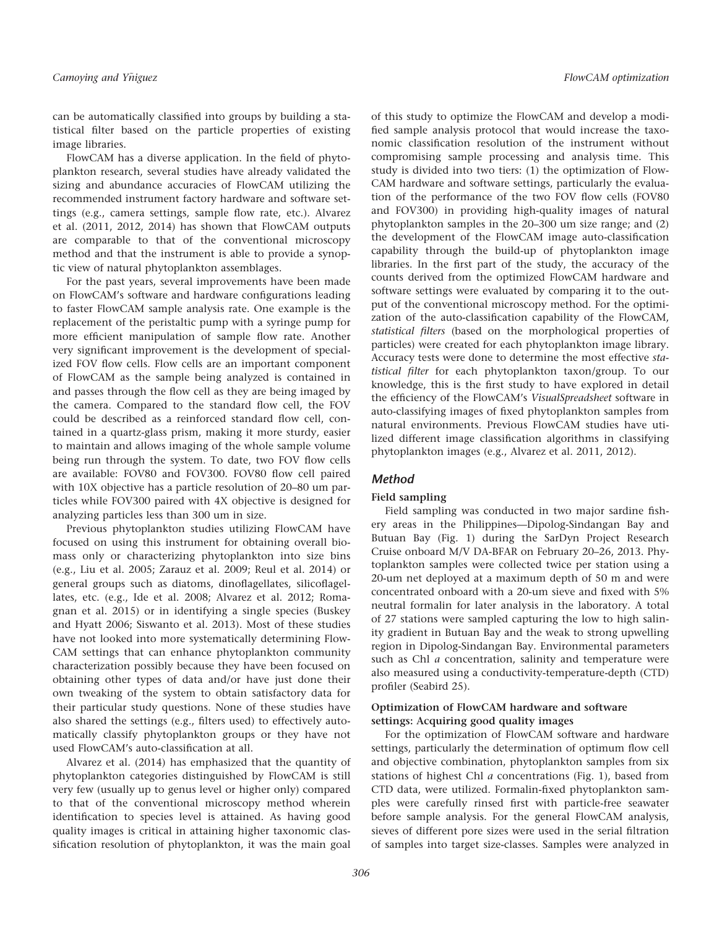can be automatically classified into groups by building a statistical filter based on the particle properties of existing image libraries.

FlowCAM has a diverse application. In the field of phytoplankton research, several studies have already validated the sizing and abundance accuracies of FlowCAM utilizing the recommended instrument factory hardware and software settings (e.g., camera settings, sample flow rate, etc.). Alvarez et al. (2011, 2012, 2014) has shown that FlowCAM outputs are comparable to that of the conventional microscopy method and that the instrument is able to provide a synoptic view of natural phytoplankton assemblages.

For the past years, several improvements have been made on FlowCAM's software and hardware configurations leading to faster FlowCAM sample analysis rate. One example is the replacement of the peristaltic pump with a syringe pump for more efficient manipulation of sample flow rate. Another very significant improvement is the development of specialized FOV flow cells. Flow cells are an important component of FlowCAM as the sample being analyzed is contained in and passes through the flow cell as they are being imaged by the camera. Compared to the standard flow cell, the FOV could be described as a reinforced standard flow cell, contained in a quartz-glass prism, making it more sturdy, easier to maintain and allows imaging of the whole sample volume being run through the system. To date, two FOV flow cells are available: FOV80 and FOV300. FOV80 flow cell paired with 10X objective has a particle resolution of 20–80 um particles while FOV300 paired with 4X objective is designed for analyzing particles less than 300 um in size.

Previous phytoplankton studies utilizing FlowCAM have focused on using this instrument for obtaining overall biomass only or characterizing phytoplankton into size bins (e.g., Liu et al. 2005; Zarauz et al. 2009; Reul et al. 2014) or general groups such as diatoms, dinoflagellates, silicoflagellates, etc. (e.g., Ide et al. 2008; Alvarez et al. 2012; Romagnan et al. 2015) or in identifying a single species (Buskey and Hyatt 2006; Siswanto et al. 2013). Most of these studies have not looked into more systematically determining Flow-CAM settings that can enhance phytoplankton community characterization possibly because they have been focused on obtaining other types of data and/or have just done their own tweaking of the system to obtain satisfactory data for their particular study questions. None of these studies have also shared the settings (e.g., filters used) to effectively automatically classify phytoplankton groups or they have not used FlowCAM's auto-classification at all.

Alvarez et al. (2014) has emphasized that the quantity of phytoplankton categories distinguished by FlowCAM is still very few (usually up to genus level or higher only) compared to that of the conventional microscopy method wherein identification to species level is attained. As having good quality images is critical in attaining higher taxonomic classification resolution of phytoplankton, it was the main goal

of this study to optimize the FlowCAM and develop a modified sample analysis protocol that would increase the taxonomic classification resolution of the instrument without compromising sample processing and analysis time. This study is divided into two tiers: (1) the optimization of Flow-CAM hardware and software settings, particularly the evaluation of the performance of the two FOV flow cells (FOV80 and FOV300) in providing high-quality images of natural phytoplankton samples in the 20–300 um size range; and (2) the development of the FlowCAM image auto-classification capability through the build-up of phytoplankton image libraries. In the first part of the study, the accuracy of the counts derived from the optimized FlowCAM hardware and software settings were evaluated by comparing it to the output of the conventional microscopy method. For the optimization of the auto-classification capability of the FlowCAM, statistical filters (based on the morphological properties of particles) were created for each phytoplankton image library. Accuracy tests were done to determine the most effective statistical filter for each phytoplankton taxon/group. To our knowledge, this is the first study to have explored in detail the efficiency of the FlowCAM's VisualSpreadsheet software in auto-classifying images of fixed phytoplankton samples from natural environments. Previous FlowCAM studies have utilized different image classification algorithms in classifying phytoplankton images (e.g., Alvarez et al. 2011, 2012).

## Method

#### Field sampling

Field sampling was conducted in two major sardine fishery areas in the Philippines—Dipolog-Sindangan Bay and Butuan Bay (Fig. 1) during the SarDyn Project Research Cruise onboard M/V DA-BFAR on February 20–26, 2013. Phytoplankton samples were collected twice per station using a 20-um net deployed at a maximum depth of 50 m and were concentrated onboard with a 20-um sieve and fixed with 5% neutral formalin for later analysis in the laboratory. A total of 27 stations were sampled capturing the low to high salinity gradient in Butuan Bay and the weak to strong upwelling region in Dipolog-Sindangan Bay. Environmental parameters such as Chl a concentration, salinity and temperature were also measured using a conductivity-temperature-depth (CTD) profiler (Seabird 25).

### Optimization of FlowCAM hardware and software settings: Acquiring good quality images

For the optimization of FlowCAM software and hardware settings, particularly the determination of optimum flow cell and objective combination, phytoplankton samples from six stations of highest Chl a concentrations (Fig. 1), based from CTD data, were utilized. Formalin-fixed phytoplankton samples were carefully rinsed first with particle-free seawater before sample analysis. For the general FlowCAM analysis, sieves of different pore sizes were used in the serial filtration of samples into target size-classes. Samples were analyzed in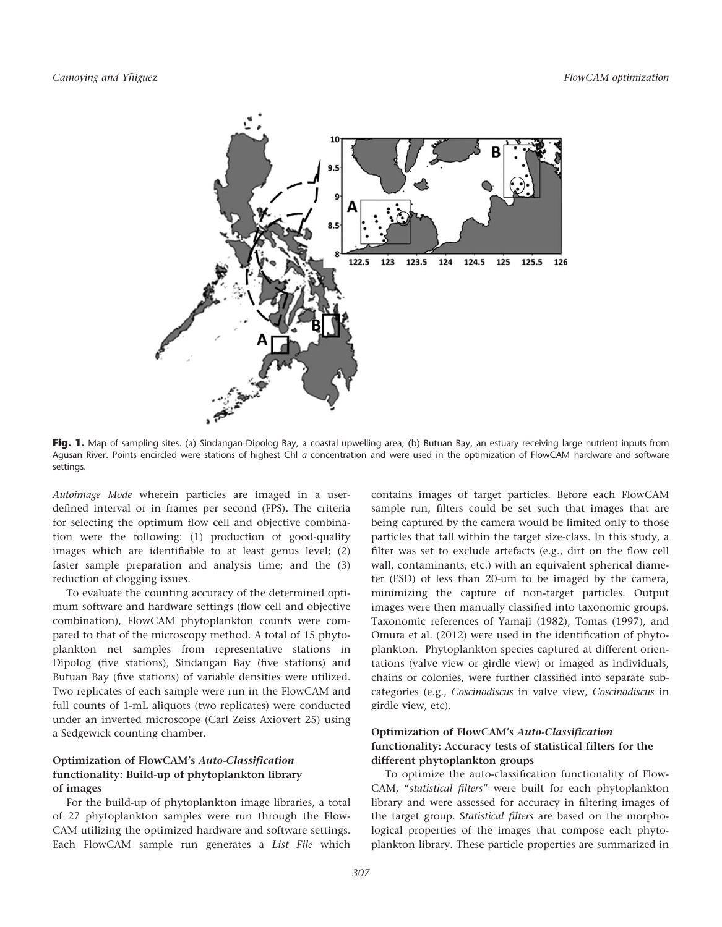

Fig. 1. Map of sampling sites. (a) Sindangan-Dipolog Bay, a coastal upwelling area; (b) Butuan Bay, an estuary receiving large nutrient inputs from Agusan River. Points encircled were stations of highest Chl a concentration and were used in the optimization of FlowCAM hardware and software settings.

Autoimage Mode wherein particles are imaged in a userdefined interval or in frames per second (FPS). The criteria for selecting the optimum flow cell and objective combination were the following: (1) production of good-quality images which are identifiable to at least genus level; (2) faster sample preparation and analysis time; and the (3) reduction of clogging issues.

To evaluate the counting accuracy of the determined optimum software and hardware settings (flow cell and objective combination), FlowCAM phytoplankton counts were compared to that of the microscopy method. A total of 15 phytoplankton net samples from representative stations in Dipolog (five stations), Sindangan Bay (five stations) and Butuan Bay (five stations) of variable densities were utilized. Two replicates of each sample were run in the FlowCAM and full counts of 1-mL aliquots (two replicates) were conducted under an inverted microscope (Carl Zeiss Axiovert 25) using a Sedgewick counting chamber.

## Optimization of FlowCAM's Auto-Classification functionality: Build-up of phytoplankton library of images

For the build-up of phytoplankton image libraries, a total of 27 phytoplankton samples were run through the Flow-CAM utilizing the optimized hardware and software settings. Each FlowCAM sample run generates a List File which contains images of target particles. Before each FlowCAM sample run, filters could be set such that images that are being captured by the camera would be limited only to those particles that fall within the target size-class. In this study, a filter was set to exclude artefacts (e.g., dirt on the flow cell wall, contaminants, etc.) with an equivalent spherical diameter (ESD) of less than 20-um to be imaged by the camera, minimizing the capture of non-target particles. Output images were then manually classified into taxonomic groups. Taxonomic references of Yamaji (1982), Tomas (1997), and Omura et al. (2012) were used in the identification of phytoplankton. Phytoplankton species captured at different orientations (valve view or girdle view) or imaged as individuals, chains or colonies, were further classified into separate subcategories (e.g., Coscinodiscus in valve view, Coscinodiscus in girdle view, etc).

## Optimization of FlowCAM's Auto-Classification functionality: Accuracy tests of statistical filters for the different phytoplankton groups

To optimize the auto-classification functionality of Flow-CAM, "statistical filters" were built for each phytoplankton library and were assessed for accuracy in filtering images of the target group. Statistical filters are based on the morphological properties of the images that compose each phytoplankton library. These particle properties are summarized in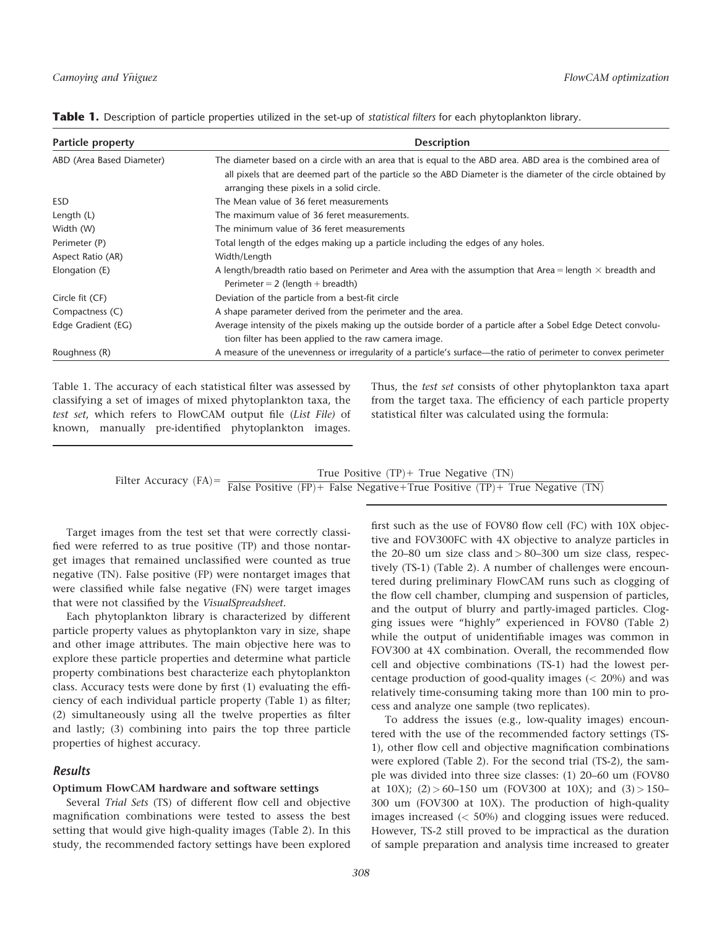|  |  |  |  | Table 1. Description of particle properties utilized in the set-up of statistical filters for each phytoplankton library. |
|--|--|--|--|---------------------------------------------------------------------------------------------------------------------------|
|--|--|--|--|---------------------------------------------------------------------------------------------------------------------------|

| <b>Particle property</b>  | <b>Description</b>                                                                                                                                                                                                                                                        |  |  |  |
|---------------------------|---------------------------------------------------------------------------------------------------------------------------------------------------------------------------------------------------------------------------------------------------------------------------|--|--|--|
| ABD (Area Based Diameter) | The diameter based on a circle with an area that is equal to the ABD area. ABD area is the combined area of<br>all pixels that are deemed part of the particle so the ABD Diameter is the diameter of the circle obtained by<br>arranging these pixels in a solid circle. |  |  |  |
| ESD                       | The Mean value of 36 feret measurements                                                                                                                                                                                                                                   |  |  |  |
| Length (L)                | The maximum value of 36 feret measurements.                                                                                                                                                                                                                               |  |  |  |
| Width (W)                 | The minimum value of 36 feret measurements                                                                                                                                                                                                                                |  |  |  |
| Perimeter (P)             | Total length of the edges making up a particle including the edges of any holes.                                                                                                                                                                                          |  |  |  |
| Aspect Ratio (AR)         | Width/Length                                                                                                                                                                                                                                                              |  |  |  |
| Elongation (E)            | A length/breadth ratio based on Perimeter and Area with the assumption that Area = length $\times$ breadth and<br>Perimeter = $2$ (length + breadth)                                                                                                                      |  |  |  |
| Circle fit (CF)           | Deviation of the particle from a best-fit circle                                                                                                                                                                                                                          |  |  |  |
| Compactness (C)           | A shape parameter derived from the perimeter and the area.                                                                                                                                                                                                                |  |  |  |
| Edge Gradient (EG)        | Average intensity of the pixels making up the outside border of a particle after a Sobel Edge Detect convolu-<br>tion filter has been applied to the raw camera image.                                                                                                    |  |  |  |
| Roughness (R)             | A measure of the unevenness or irregularity of a particle's surface—the ratio of perimeter to convex perimeter                                                                                                                                                            |  |  |  |

Table 1. The accuracy of each statistical filter was assessed by classifying a set of images of mixed phytoplankton taxa, the test set, which refers to FlowCAM output file (List File) of known, manually pre-identified phytoplankton images.

Thus, the test set consists of other phytoplankton taxa apart from the target taxa. The efficiency of each particle property statistical filter was calculated using the formula:

Filter Accuracy (FA)=  $\frac{\text{True Positive (TP)} + \text{True Negative (TN)}}{\text{False Positive (FP)} + \text{False Negative} + \text{True Positive (TP)} + \text{True Negative (TN)}}$ 

Target images from the test set that were correctly classified were referred to as true positive (TP) and those nontarget images that remained unclassified were counted as true negative (TN). False positive (FP) were nontarget images that were classified while false negative (FN) were target images that were not classified by the VisualSpreadsheet.

Each phytoplankton library is characterized by different particle property values as phytoplankton vary in size, shape and other image attributes. The main objective here was to explore these particle properties and determine what particle property combinations best characterize each phytoplankton class. Accuracy tests were done by first (1) evaluating the efficiency of each individual particle property (Table 1) as filter; (2) simultaneously using all the twelve properties as filter and lastly; (3) combining into pairs the top three particle properties of highest accuracy.

## Results

#### Optimum FlowCAM hardware and software settings

Several Trial Sets (TS) of different flow cell and objective magnification combinations were tested to assess the best setting that would give high-quality images (Table 2). In this study, the recommended factory settings have been explored first such as the use of FOV80 flow cell (FC) with 10X objective and FOV300FC with 4X objective to analyze particles in the 20–80 um size class and > 80–300 um size class, respectively (TS-1) (Table 2). A number of challenges were encountered during preliminary FlowCAM runs such as clogging of the flow cell chamber, clumping and suspension of particles, and the output of blurry and partly-imaged particles. Clogging issues were "highly" experienced in FOV80 (Table 2) while the output of unidentifiable images was common in FOV300 at 4X combination. Overall, the recommended flow cell and objective combinations (TS-1) had the lowest percentage production of good-quality images (< 20%) and was relatively time-consuming taking more than 100 min to process and analyze one sample (two replicates).

To address the issues (e.g., low-quality images) encountered with the use of the recommended factory settings (TS-1), other flow cell and objective magnification combinations were explored (Table 2). For the second trial (TS-2), the sample was divided into three size classes: (1) 20–60 um (FOV80 at 10X); (2) > 60-150 um (FOV300 at 10X); and (3) > 150-300 um (FOV300 at 10X). The production of high-quality images increased (< 50%) and clogging issues were reduced. However, TS-2 still proved to be impractical as the duration of sample preparation and analysis time increased to greater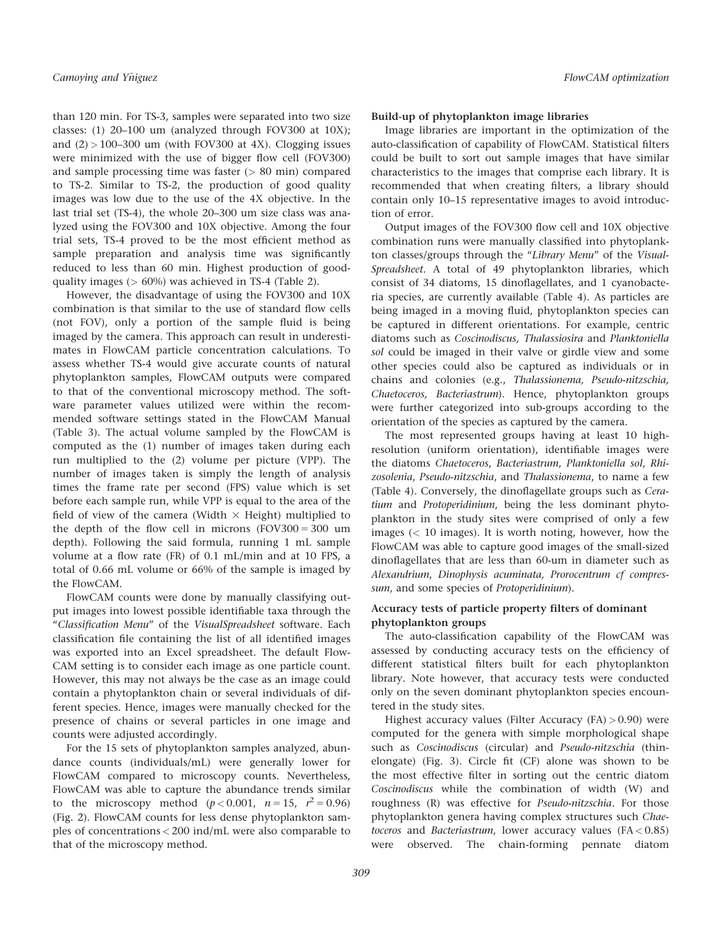than 120 min. For TS-3, samples were separated into two size classes: (1) 20–100 um (analyzed through FOV300 at 10X); and  $(2) > 100-300$  um (with FOV300 at 4X). Clogging issues were minimized with the use of bigger flow cell (FOV300) and sample processing time was faster  $(> 80$  min) compared to TS-2. Similar to TS-2, the production of good quality images was low due to the use of the 4X objective. In the last trial set (TS-4), the whole 20–300 um size class was analyzed using the FOV300 and 10X objective. Among the four trial sets, TS-4 proved to be the most efficient method as sample preparation and analysis time was significantly reduced to less than 60 min. Highest production of goodquality images ( $> 60\%$ ) was achieved in TS-4 (Table 2).

However, the disadvantage of using the FOV300 and 10X combination is that similar to the use of standard flow cells (not FOV), only a portion of the sample fluid is being imaged by the camera. This approach can result in underestimates in FlowCAM particle concentration calculations. To assess whether TS-4 would give accurate counts of natural phytoplankton samples, FlowCAM outputs were compared to that of the conventional microscopy method. The software parameter values utilized were within the recommended software settings stated in the FlowCAM Manual (Table 3). The actual volume sampled by the FlowCAM is computed as the (1) number of images taken during each run multiplied to the (2) volume per picture (VPP). The number of images taken is simply the length of analysis times the frame rate per second (FPS) value which is set before each sample run, while VPP is equal to the area of the field of view of the camera (Width  $\times$  Height) multiplied to the depth of the flow cell in microns  $(FOV300 = 300$  um depth). Following the said formula, running 1 mL sample volume at a flow rate (FR) of 0.1 mL/min and at 10 FPS, a total of 0.66 mL volume or 66% of the sample is imaged by the FlowCAM.

FlowCAM counts were done by manually classifying output images into lowest possible identifiable taxa through the "Classification Menu" of the VisualSpreadsheet software. Each classification file containing the list of all identified images was exported into an Excel spreadsheet. The default Flow-CAM setting is to consider each image as one particle count. However, this may not always be the case as an image could contain a phytoplankton chain or several individuals of different species. Hence, images were manually checked for the presence of chains or several particles in one image and counts were adjusted accordingly.

For the 15 sets of phytoplankton samples analyzed, abundance counts (individuals/mL) were generally lower for FlowCAM compared to microscopy counts. Nevertheless, FlowCAM was able to capture the abundance trends similar to the microscopy method ( $p < 0.001$ ,  $n = 15$ ,  $r^2 = 0.96$ ) (Fig. 2). FlowCAM counts for less dense phytoplankton samples of concentrations < 200 ind/mL were also comparable to that of the microscopy method.

#### Build-up of phytoplankton image libraries

Image libraries are important in the optimization of the auto-classification of capability of FlowCAM. Statistical filters could be built to sort out sample images that have similar characteristics to the images that comprise each library. It is recommended that when creating filters, a library should contain only 10–15 representative images to avoid introduction of error.

Output images of the FOV300 flow cell and 10X objective combination runs were manually classified into phytoplankton classes/groups through the "Library Menu" of the Visual-Spreadsheet. A total of 49 phytoplankton libraries, which consist of 34 diatoms, 15 dinoflagellates, and 1 cyanobacteria species, are currently available (Table 4). As particles are being imaged in a moving fluid, phytoplankton species can be captured in different orientations. For example, centric diatoms such as Coscinodiscus, Thalassiosira and Planktoniella sol could be imaged in their valve or girdle view and some other species could also be captured as individuals or in chains and colonies (e.g., Thalassionema, Pseudo-nitzschia, Chaetoceros, Bacteriastrum). Hence, phytoplankton groups were further categorized into sub-groups according to the orientation of the species as captured by the camera.

The most represented groups having at least 10 highresolution (uniform orientation), identifiable images were the diatoms Chaetoceros, Bacteriastrum, Planktoniella sol, Rhizosolenia, Pseudo-nitzschia, and Thalassionema, to name a few (Table 4). Conversely, the dinoflagellate groups such as Ceratium and Protoperidinium, being the less dominant phytoplankton in the study sites were comprised of only a few images  $( $10$  images). It is worth noting, however, how the$ FlowCAM was able to capture good images of the small-sized dinoflagellates that are less than 60-um in diameter such as Alexandrium, Dinophysis acuminata, Prorocentrum cf compressum, and some species of Protoperidinium).

## Accuracy tests of particle property filters of dominant phytoplankton groups

The auto-classification capability of the FlowCAM was assessed by conducting accuracy tests on the efficiency of different statistical filters built for each phytoplankton library. Note however, that accuracy tests were conducted only on the seven dominant phytoplankton species encountered in the study sites.

Highest accuracy values (Filter Accuracy (FA) > 0.90) were computed for the genera with simple morphological shape such as Coscinodiscus (circular) and Pseudo-nitzschia (thinelongate) (Fig. 3). Circle fit (CF) alone was shown to be the most effective filter in sorting out the centric diatom Coscinodiscus while the combination of width (W) and roughness (R) was effective for Pseudo-nitzschia. For those phytoplankton genera having complex structures such Chaetoceros and Bacteriastrum, lower accuracy values  $(FA < 0.85)$ were observed. The chain-forming pennate diatom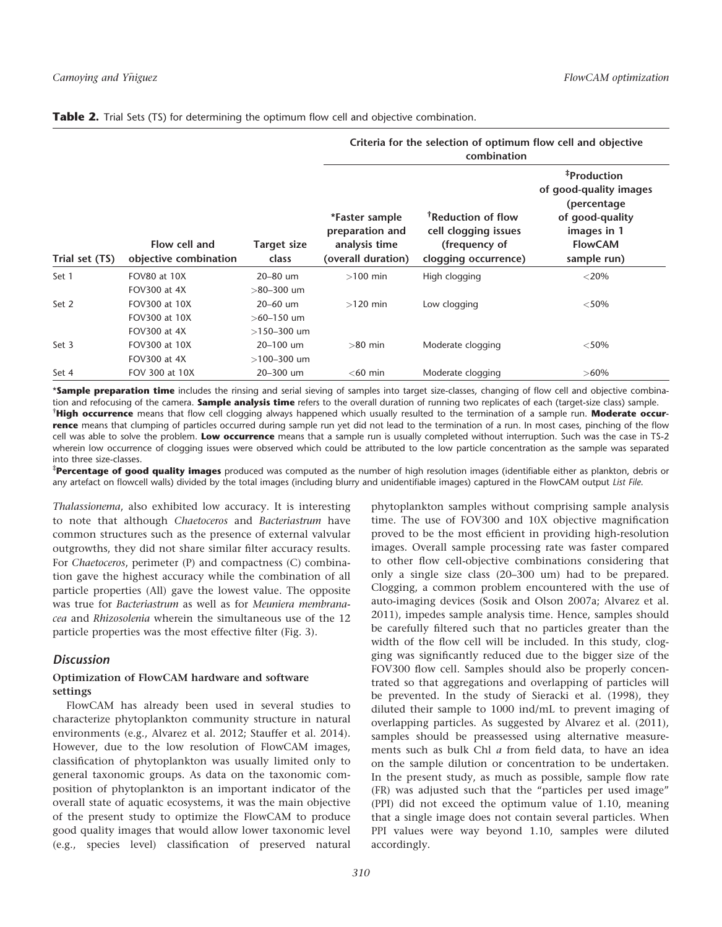|                |                                        | <b>Target size</b><br>class | Criteria for the selection of optimum flow cell and objective<br>combination |                                                                                                 |                                                                                                                                      |
|----------------|----------------------------------------|-----------------------------|------------------------------------------------------------------------------|-------------------------------------------------------------------------------------------------|--------------------------------------------------------------------------------------------------------------------------------------|
| Trial set (TS) | Flow cell and<br>objective combination |                             | *Faster sample<br>preparation and<br>analysis time<br>(overall duration)     | <sup>T</sup> Reduction of flow<br>cell clogging issues<br>(frequency of<br>clogging occurrence) | <sup>‡</sup> Production<br>of good-quality images<br>(percentage)<br>of good-quality<br>images in 1<br><b>FlowCAM</b><br>sample run) |
| Set 1          | FOV80 at 10X                           | 20-80 um                    | $>100$ min                                                                   | High clogging                                                                                   | ${<}20%$                                                                                                                             |
|                | FOV300 at 4X                           | $>80 - 300$ um              |                                                                              |                                                                                                 |                                                                                                                                      |
| Set 2          | FOV300 at 10X                          | 20-60 um                    | $>120$ min                                                                   | Low clogging                                                                                    | $<$ 50%                                                                                                                              |
|                | FOV300 at 10X                          | $>60 - 150$ um              |                                                                              |                                                                                                 |                                                                                                                                      |
|                | FOV300 at 4X                           | $>150-300$ um               |                                                                              |                                                                                                 |                                                                                                                                      |
| Set 3          | FOV300 at 10X                          | 20-100 um                   | $>80$ min                                                                    | Moderate clogging                                                                               | $<$ 50%                                                                                                                              |
|                | FOV300 at 4X                           | $>100 - 300$ um             |                                                                              |                                                                                                 |                                                                                                                                      |
| Set 4          | FOV 300 at 10X                         | 20-300 um                   | $<$ 60 min                                                                   | Moderate clogging                                                                               | $>60\%$                                                                                                                              |

#### Table 2. Trial Sets (TS) for determining the optimum flow cell and objective combination.

\*Sample preparation time includes the rinsing and serial sieving of samples into target size-classes, changing of flow cell and objective combination and refocusing of the camera. **Sample analysis time** refers to the overall duration of running two replicates of each (target-size class) sample. <sup>†</sup>High occurrence means that flow cell clogging always happened which usually resulted to the termination of a sample run. Moderate occurrence means that clumping of particles occurred during sample run yet did not lead to the termination of a run. In most cases, pinching of the flow cell was able to solve the problem. Low occurrence means that a sample run is usually completed without interruption. Such was the case in TS-2 wherein low occurrence of clogging issues were observed which could be attributed to the low particle concentration as the sample was separated into three size-classes.

‡ Percentage of good quality images produced was computed as the number of high resolution images (identifiable either as plankton, debris or any artefact on flowcell walls) divided by the total images (including blurry and unidentifiable images) captured in the FlowCAM output List File.

Thalassionema, also exhibited low accuracy. It is interesting to note that although Chaetoceros and Bacteriastrum have common structures such as the presence of external valvular outgrowths, they did not share similar filter accuracy results. For Chaetoceros, perimeter (P) and compactness (C) combination gave the highest accuracy while the combination of all particle properties (All) gave the lowest value. The opposite was true for Bacteriastrum as well as for Meuniera membranacea and Rhizosolenia wherein the simultaneous use of the 12 particle properties was the most effective filter (Fig. 3).

## Discussion

## Optimization of FlowCAM hardware and software settings

FlowCAM has already been used in several studies to characterize phytoplankton community structure in natural environments (e.g., Alvarez et al. 2012; Stauffer et al. 2014). However, due to the low resolution of FlowCAM images, classification of phytoplankton was usually limited only to general taxonomic groups. As data on the taxonomic composition of phytoplankton is an important indicator of the overall state of aquatic ecosystems, it was the main objective of the present study to optimize the FlowCAM to produce good quality images that would allow lower taxonomic level (e.g., species level) classification of preserved natural

phytoplankton samples without comprising sample analysis time. The use of FOV300 and 10X objective magnification proved to be the most efficient in providing high-resolution images. Overall sample processing rate was faster compared to other flow cell-objective combinations considering that only a single size class (20–300 um) had to be prepared. Clogging, a common problem encountered with the use of auto-imaging devices (Sosik and Olson 2007a; Alvarez et al. 2011), impedes sample analysis time. Hence, samples should be carefully filtered such that no particles greater than the width of the flow cell will be included. In this study, clogging was significantly reduced due to the bigger size of the FOV300 flow cell. Samples should also be properly concentrated so that aggregations and overlapping of particles will be prevented. In the study of Sieracki et al. (1998), they diluted their sample to 1000 ind/mL to prevent imaging of overlapping particles. As suggested by Alvarez et al. (2011), samples should be preassessed using alternative measurements such as bulk Chl a from field data, to have an idea on the sample dilution or concentration to be undertaken. In the present study, as much as possible, sample flow rate (FR) was adjusted such that the "particles per used image" (PPI) did not exceed the optimum value of 1.10, meaning that a single image does not contain several particles. When PPI values were way beyond 1.10, samples were diluted accordingly.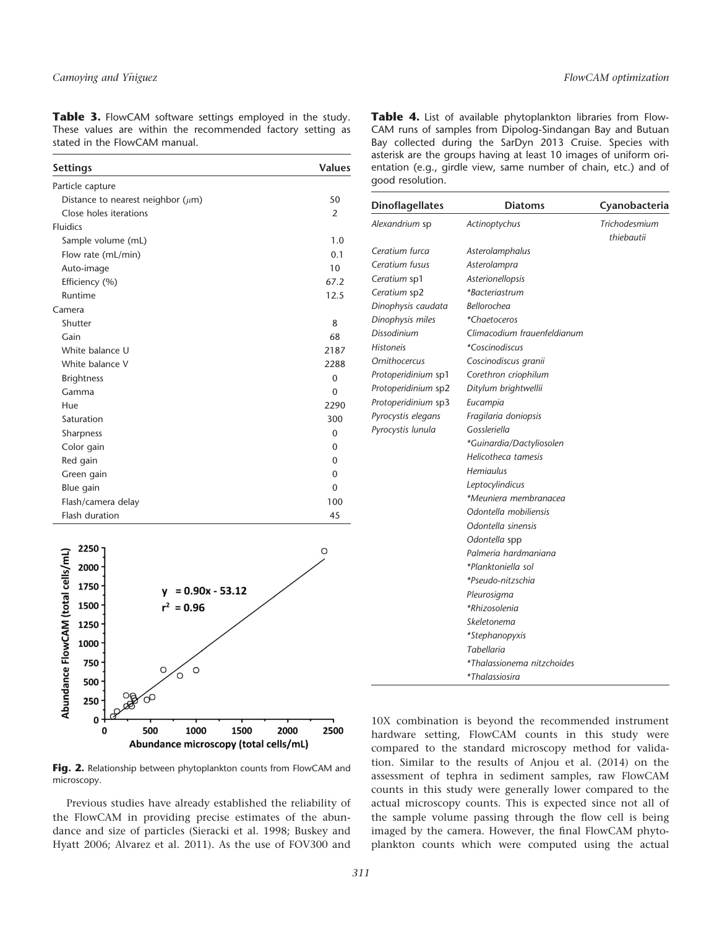Table 3. FlowCAM software settings employed in the study. These values are within the recommended factory setting as stated in the FlowCAM manual.

| <b>Settings</b>                        | <b>Values</b> |
|----------------------------------------|---------------|
| Particle capture                       |               |
| Distance to nearest neighbor $(\mu m)$ | 50            |
| Close holes iterations                 | 2             |
| <b>Fluidics</b>                        |               |
| Sample volume (mL)                     | 1.0           |
| Flow rate (mL/min)                     | 0.1           |
| Auto-image                             | 10            |
| Efficiency (%)                         | 67.2          |
| Runtime                                | 12.5          |
| Camera                                 |               |
| Shutter                                | 8             |
| Gain                                   | 68            |
| White balance U                        | 2187          |
| White balance V                        | 2288          |
| <b>Brightness</b>                      | $\mathbf{0}$  |
| Gamma                                  | $\mathbf{0}$  |
| Hue                                    | 2290          |
| Saturation                             | 300           |
| Sharpness                              | 0             |
| Color gain                             | $\Omega$      |
| Red gain                               | $\Omega$      |
| Green gain                             | $\Omega$      |
| Blue gain                              | $\mathbf{0}$  |
| Flash/camera delay                     | 100           |
| Flash duration                         | 45            |



Fig. 2. Relationship between phytoplankton counts from FlowCAM and microscopy.

Previous studies have already established the reliability of the FlowCAM in providing precise estimates of the abundance and size of particles (Sieracki et al. 1998; Buskey and Hyatt 2006; Alvarez et al. 2011). As the use of FOV300 and

Table 4. List of available phytoplankton libraries from Flow-CAM runs of samples from Dipolog-Sindangan Bay and Butuan Bay collected during the SarDyn 2013 Cruise. Species with asterisk are the groups having at least 10 images of uniform orientation (e.g., girdle view, same number of chain, etc.) and of good resolution.

| <b>Dinoflagellates</b> | <b>Diatoms</b>              | Cyanobacteria               |
|------------------------|-----------------------------|-----------------------------|
| Alexandrium sp         | Actinoptychus               | Trichodesmium<br>thiebautii |
| Ceratium furca         | Asterolamphalus             |                             |
| Ceratium fusus         | Asterolampra                |                             |
| Ceratium sp1           | Asterionellopsis            |                             |
| Ceratium sp2           | *Bacteriastrum              |                             |
| Dinophysis caudata     | Bellorochea                 |                             |
| Dinophysis miles       | *Chaetoceros                |                             |
| Dissodinium            | Climacodium frauenfeldianum |                             |
| <b>Histoneis</b>       | *Coscinodiscus              |                             |
| <b>Ornithocercus</b>   | Coscinodiscus granii        |                             |
| Protoperidinium sp1    | Corethron criophilum        |                             |
| Protoperidinium sp2    | Ditylum brightwellii        |                             |
| Protoperidinium sp3    | Eucampia                    |                             |
| Pyrocystis elegans     | Fragilaria doniopsis        |                             |
| Pyrocystis lunula      | Gossleriella                |                             |
|                        | *Guinardia/Dactyliosolen    |                             |
|                        | Helicotheca tamesis         |                             |
|                        | <b>Hemiaulus</b>            |                             |
|                        | Leptocylindicus             |                             |
|                        | *Meuniera membranacea       |                             |
|                        | Odontella mobiliensis       |                             |
|                        | Odontella sinensis          |                             |
|                        | Odontella spp               |                             |
|                        | Palmeria hardmaniana        |                             |
|                        | *Planktoniella sol          |                             |
|                        | *Pseudo-nitzschia           |                             |
|                        | Pleurosigma                 |                             |
|                        | *Rhizosolenia               |                             |
|                        | Skeletonema                 |                             |
|                        | *Stephanopyxis              |                             |
|                        | <b>Tabellaria</b>           |                             |
|                        | *Thalassionema nitzchoides  |                             |
|                        | *Thalassiosira              |                             |

10X combination is beyond the recommended instrument hardware setting, FlowCAM counts in this study were compared to the standard microscopy method for validation. Similar to the results of Anjou et al. (2014) on the assessment of tephra in sediment samples, raw FlowCAM counts in this study were generally lower compared to the actual microscopy counts. This is expected since not all of the sample volume passing through the flow cell is being imaged by the camera. However, the final FlowCAM phytoplankton counts which were computed using the actual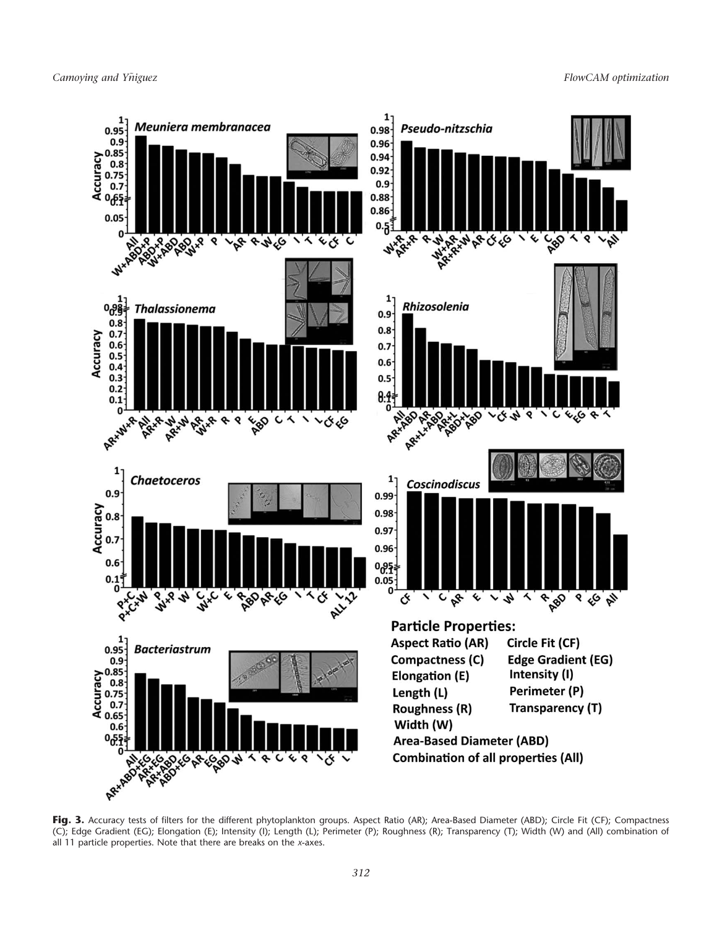

Fig. 3. Accuracy tests of filters for the different phytoplankton groups. Aspect Ratio (AR); Area-Based Diameter (ABD); Circle Fit (CF); Compactness (C); Edge Gradient (EG); Elongation (E); Intensity (I); Length (L); Perimeter (P); Roughness (R); Transparency (T); Width (W) and (All) combination of all 11 particle properties. Note that there are breaks on the x-axes.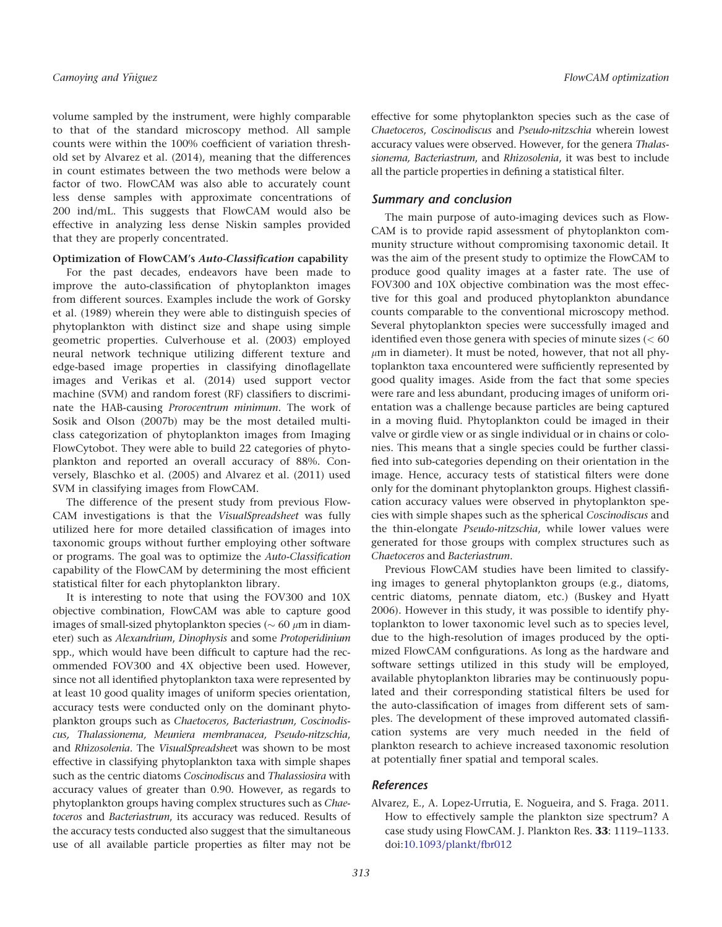volume sampled by the instrument, were highly comparable to that of the standard microscopy method. All sample counts were within the 100% coefficient of variation threshold set by Alvarez et al. (2014), meaning that the differences in count estimates between the two methods were below a factor of two. FlowCAM was also able to accurately count less dense samples with approximate concentrations of 200 ind/mL. This suggests that FlowCAM would also be effective in analyzing less dense Niskin samples provided that they are properly concentrated.

#### Optimization of FlowCAM's Auto-Classification capability

For the past decades, endeavors have been made to improve the auto-classification of phytoplankton images from different sources. Examples include the work of Gorsky et al. (1989) wherein they were able to distinguish species of phytoplankton with distinct size and shape using simple geometric properties. Culverhouse et al. (2003) employed neural network technique utilizing different texture and edge-based image properties in classifying dinoflagellate images and Verikas et al. (2014) used support vector machine (SVM) and random forest (RF) classifiers to discriminate the HAB-causing Prorocentrum minimum. The work of Sosik and Olson (2007b) may be the most detailed multiclass categorization of phytoplankton images from Imaging FlowCytobot. They were able to build 22 categories of phytoplankton and reported an overall accuracy of 88%. Conversely, Blaschko et al. (2005) and Alvarez et al. (2011) used SVM in classifying images from FlowCAM.

The difference of the present study from previous Flow-CAM investigations is that the VisualSpreadsheet was fully utilized here for more detailed classification of images into taxonomic groups without further employing other software or programs. The goal was to optimize the Auto-Classification capability of the FlowCAM by determining the most efficient statistical filter for each phytoplankton library.

It is interesting to note that using the FOV300 and 10X objective combination, FlowCAM was able to capture good images of small-sized phytoplankton species ( $\sim$  60  $\mu$ m in diameter) such as Alexandrium, Dinophysis and some Protoperidinium spp., which would have been difficult to capture had the recommended FOV300 and 4X objective been used. However, since not all identified phytoplankton taxa were represented by at least 10 good quality images of uniform species orientation, accuracy tests were conducted only on the dominant phytoplankton groups such as Chaetoceros, Bacteriastrum, Coscinodiscus, Thalassionema, Meuniera membranacea, Pseudo-nitzschia, and Rhizosolenia. The VisualSpreadsheet was shown to be most effective in classifying phytoplankton taxa with simple shapes such as the centric diatoms Coscinodiscus and Thalassiosira with accuracy values of greater than 0.90. However, as regards to phytoplankton groups having complex structures such as Chaetoceros and Bacteriastrum, its accuracy was reduced. Results of the accuracy tests conducted also suggest that the simultaneous use of all available particle properties as filter may not be

effective for some phytoplankton species such as the case of Chaetoceros, Coscinodiscus and Pseudo-nitzschia wherein lowest accuracy values were observed. However, for the genera Thalassionema, Bacteriastrum, and Rhizosolenia, it was best to include all the particle properties in defining a statistical filter.

## Summary and conclusion

The main purpose of auto-imaging devices such as Flow-CAM is to provide rapid assessment of phytoplankton community structure without compromising taxonomic detail. It was the aim of the present study to optimize the FlowCAM to produce good quality images at a faster rate. The use of FOV300 and 10X objective combination was the most effective for this goal and produced phytoplankton abundance counts comparable to the conventional microscopy method. Several phytoplankton species were successfully imaged and identified even those genera with species of minute sizes  $(< 60$  $\mu$ m in diameter). It must be noted, however, that not all phytoplankton taxa encountered were sufficiently represented by good quality images. Aside from the fact that some species were rare and less abundant, producing images of uniform orientation was a challenge because particles are being captured in a moving fluid. Phytoplankton could be imaged in their valve or girdle view or as single individual or in chains or colonies. This means that a single species could be further classified into sub-categories depending on their orientation in the image. Hence, accuracy tests of statistical filters were done only for the dominant phytoplankton groups. Highest classification accuracy values were observed in phytoplankton species with simple shapes such as the spherical Coscinodiscus and the thin-elongate Pseudo-nitzschia, while lower values were generated for those groups with complex structures such as Chaetoceros and Bacteriastrum.

Previous FlowCAM studies have been limited to classifying images to general phytoplankton groups (e.g., diatoms, centric diatoms, pennate diatom, etc.) (Buskey and Hyatt 2006). However in this study, it was possible to identify phytoplankton to lower taxonomic level such as to species level, due to the high-resolution of images produced by the optimized FlowCAM configurations. As long as the hardware and software settings utilized in this study will be employed, available phytoplankton libraries may be continuously populated and their corresponding statistical filters be used for the auto-classification of images from different sets of samples. The development of these improved automated classification systems are very much needed in the field of plankton research to achieve increased taxonomic resolution at potentially finer spatial and temporal scales.

## References

Alvarez, E., A. Lopez-Urrutia, E. Nogueira, and S. Fraga. 2011. How to effectively sample the plankton size spectrum? A case study using FlowCAM. J. Plankton Res. 33: 1119–1133. doi[:10.1093/plankt/fbr012](http://dx.doi.org/10.1093/plankt/fbr012)